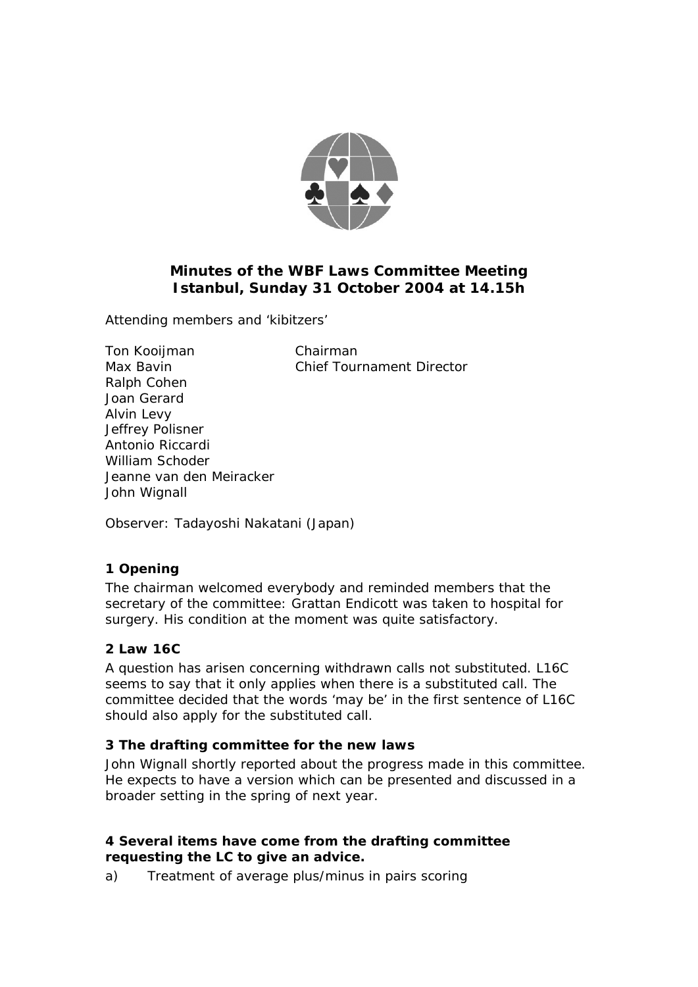

# **Minutes of the WBF Laws Committee Meeting Istanbul, Sunday 31 October 2004 at 14.15h**

Attending members and 'kibitzers'

Ton Kooijman Chairman Max Bavin **Chief Tournament Director** Ralph Cohen Joan Gerard Alvin Levy Jeffrey Polisner Antonio Riccardi William Schoder Jeanne van den Meiracker John Wignall

Observer: Tadayoshi Nakatani (Japan)

## **1 Opening**

The chairman welcomed everybody and reminded members that the secretary of the committee: Grattan Endicott was taken to hospital for surgery. His condition at the moment was quite satisfactory.

## **2 Law 16C**

A question has arisen concerning withdrawn calls not substituted. L16C seems to say that it only applies when there is a substituted call. The committee decided that the words 'may be' in the first sentence of L16C should also apply for the substituted call.

## **3 The drafting committee for the new laws**

John Wignall shortly reported about the progress made in this committee. He expects to have a version which can be presented and discussed in a broader setting in the spring of next year.

### **4 Several items have come from the drafting committee requesting the LC to give an advice.**

a) Treatment of average plus/minus in pairs scoring